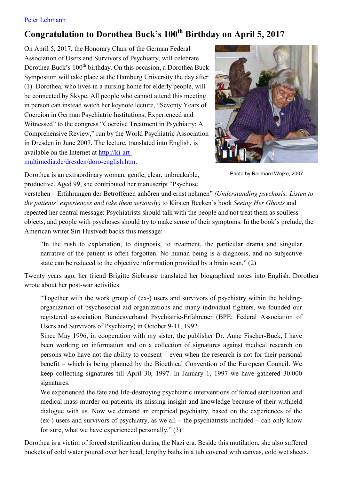## Peter Lehmann

## Congratulation to Dorothea Buck's 100<sup>th</sup> Birthday on April 5, 2017

On April 5, 2017, the Honorary Chair of the German Federal Association of Users and Survivors of Psychiatry, will celebrate Dorothea Buck's 100<sup>th</sup> birthday. On this occasion, a Dorothea Buck Symposium will take place at the Hamburg University the day after (1). Dorothea, who lives in a nursing home for elderly people, will be connected by Skype. All people who cannot attend this meeting in person can instead watch her keynote lecture, "Seventy Years of Coercion in German Psychiatric Institutions, Experienced and Witnessed" to the congress "Coercive Treatment in Psychiatry: A Comprehensive Review," run by the World Psychiatric Association in Dresden in June 2007. The lecture, translated into English, is available on the Internet at http://ki-artmultimedia.de/dresden/doro-english.htm.



Photo by Reinhard Wojke, 2007

Dorothea is an extraordinary woman, gentle, clear, unbreakable, productive. Aged 99, she contributed her manuscript "Psychose"

verstehen - Erfahrungen der Betroffenen anhören und ernst nehmen" (Understanding psychosis: Listen to the patients' experiences and take them seriously) to Kirsten Becken's book Seeing Her Ghosts and repeated her central message: Psychiatrists should talk with the people and not treat them as soulless objects, and people with psychoses should try to make sense of their symptoms. In the book's prelude, the American writer Siri Hustvedt backs this message:

"In the rush to explanation, to diagnosis, to treatment, the particular drama and singular narrative of the patient is often forgotten. No human being is a diagnosis, and no subjective state can be reduced to the objective information provided by a brain scan." (2)

Twenty years ago, her friend Brigitte Siebrasse translated her biographical notes into English. Dorothea wrote about her post-war activities:

"Together with the work group of (ex-) users and survivors of psychiatry within the holdingorganization of psychosocial aid organizations and many individual fighters, we founded our registered association Bundesverband Psychiatrie-Erfahrener (BPE; Federal Association of Users and Survivors of Psychiatry) in October 9-11, 1992.

Since May 1996, in cooperation with my sister, the publisher Dr. Anne Fischer-Buck, I have been working on information and on a collection of signatures against medical research on persons who have not the ability to consent – even when the research is not for their personal benefit – which is being planned by the Bioethical Convention of the European Council. We keep collecting signatures till April 30, 1997. In January 1, 1997 we have gathered 30.000 signatures.

We experienced the fate and life-destroying psychiatric interventions of forced sterilization and medical mass murder on patients, its missing insight and knowledge because of their withheld dialogue with us. Now we demand an empirical psychiatry, based on the experiences of the (ex-) users and survivors of psychiatry, as we all – the psychiatrists included – can only know for sure, what we have experienced personally." (3)

Dorothea is a victim of forced sterilization during the Nazi era. Beside this mutilation, she also suffered buckets of cold water poured over her head, lengthy baths in a tub covered with canvas, cold wet sheets.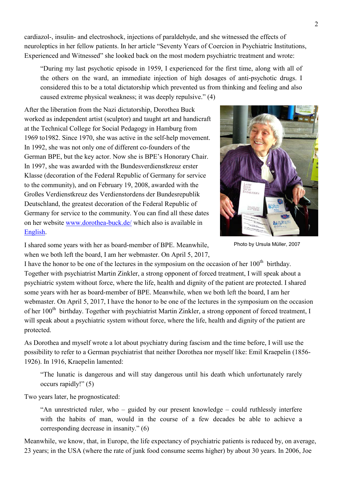cardiazol-, insulin- and electroshock, injections of paraldehyde, and she witnessed the effects of neuroleptics in her fellow patients. In her article "Seventy Years of Coercion in Psychiatric Institutions, Experienced and Witnessed" she looked back on the most modern psychiatric treatment and wrote:

"During my last psychotic episode in 1959, I experienced for the first time, along with all of the others on the ward, an immediate injection of high dosages of anti-psychotic drugs. I considered this to be a total dictatorship which prevented us from thinking and feeling and also caused extreme physical weakness; it was deeply repulsive." (4)

After the liberation from the Nazi dictatorship, Dorothea Buck worked as independent artist (sculptor) and taught art and handicraft at the Technical College for Social Pedagogy in Hamburg from 1969 to 1982. Since 1970, she was active in the self-help movement. In 1992, she was not only one of different co-founders of the German BPE, but the key actor. Now she is BPE's Honorary Chair. In 1997, she was awarded with the Bundesverdienstkreuz erster Klasse (decoration of the Federal Republic of Germany for service to the community), and on February 19, 2008, awarded with the Großes Verdienstkreuz des Verdienstordens der Bundesrepublik Deutschland, the greatest decoration of the Federal Republic of Germany for service to the community. You can find all these dates on her website www.dorothea-buck.de/ which also is available in English.



Photo by Ursula Müller, 2007

I shared some years with her as board-member of BPE. Meanwhile, when we both left the board, I am her webmaster. On April 5, 2017,

I have the honor to be one of the lectures in the symposium on the occasion of her 100<sup>th</sup> birthday. Together with psychiatrist Martin Zinkler, a strong opponent of forced treatment, I will speak about a psychiatric system without force, where the life, health and dignity of the patient are protected. I shared some years with her as board-member of BPE. Meanwhile, when we both left the board, I am her webmaster. On April 5, 2017, I have the honor to be one of the lectures in the symposium on the occasion of her 100<sup>th</sup> birthday. Together with psychiatrist Martin Zinkler, a strong opponent of forced treatment, I will speak about a psychiatric system without force, where the life, health and dignity of the patient are protected.

As Dorothea and myself wrote a lot about psychiatry during fascism and the time before. I will use the possibility to refer to a German psychiatrist that neither Dorothea nor myself like: Emil Kraepelin (1856-1926). In 1916, Kraepelin lamented:

"The lunatic is dangerous and will stay dangerous until his death which unfortunately rarely occurs rapidly!"  $(5)$ 

Two years later, he prognosticated:

"An unrestricted ruler, who – guided by our present knowledge – could ruthlessly interfere with the habits of man, would in the course of a few decades be able to achieve a corresponding decrease in insanity." $(6)$ 

Meanwhile, we know, that, in Europe, the life expectancy of psychiatric patients is reduced by, on average, 23 years; in the USA (where the rate of junk food consume seems higher) by about 30 years. In 2006, Joe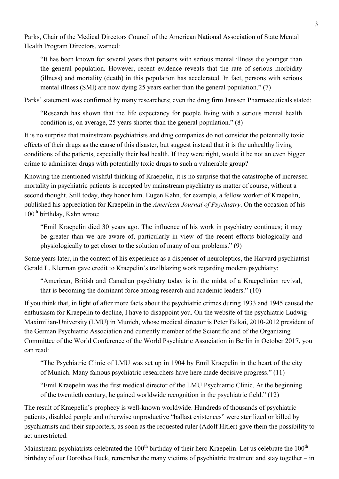Parks, Chair of the Medical Directors Council of the American National Association of State Mental Health Program Directors, warned:

"It has been known for several years that persons with serious mental illness die younger than the general population. However, recent evidence reveals that the rate of serious morbidity (illness) and mortality (death) in this population has accelerated. In fact, persons with serious mental illness (SMI) are now dying 25 years earlier than the general population."  $(7)$ 

Parks' statement was confirmed by many researchers; even the drug firm Janssen Pharmaceuticals stated:

"Research has shown that the life expectancy for people living with a serious mental health condition is, on average, 25 years shorter than the general population."  $(8)$ 

It is no surprise that mainstream psychiatrists and drug companies do not consider the potentially toxic effects of their drugs as the cause of this disaster, but suggest instead that it is the unhealthy living conditions of the patients, especially their bad health. If they were right, would it be not an even bigger crime to administer drugs with potentially toxic drugs to such a vulnerable group?

Knowing the mentioned wishful thinking of Kraepelin, it is no surprise that the catastrophe of increased mortality in psychiatric patients is accepted by mainstream psychiatry as matter of course, without a second thought. Still today, they honor him. Eugen Kahn, for example, a fellow worker of Kraepelin, published his appreciation for Kraepelin in the American Journal of Psychiatry. On the occasion of his 100<sup>th</sup> birthday, Kahn wrote:

"Emil Kraepelin died 30 years ago. The influence of his work in psychiatry continues; it may be greater than we are aware of, particularly in view of the recent efforts biologically and physiologically to get closer to the solution of many of our problems." (9)

Some years later, in the context of his experience as a dispenser of neuroleptics, the Harvard psychiatrist Gerald L. Klerman gave credit to Kraepelin's trailblazing work regarding modern psychiatry:

"American, British and Canadian psychiatry today is in the midst of a Kraepelinian revival, that is becoming the dominant force among research and academic leaders." (10)

If you think that, in light of after more facts about the psychiatric crimes during 1933 and 1945 caused the enthusiasm for Kraepelin to decline, I have to disappoint you. On the website of the psychiatric Ludwig-Maximilian-University (LMU) in Munich, whose medical director is Peter Falkai, 2010-2012 president of the German Psychiatric Association and currently member of the Scientific and of the Organizing Committee of the World Conference of the World Psychiatric Association in Berlin in October 2017, you can read:

"The Psychiatric Clinic of LMU was set up in 1904 by Emil Kraepelin in the heart of the city of Munich. Many famous psychiatric researchers have here made decisive progress." (11)

"Emil Kraepelin was the first medical director of the LMU Psychiatric Clinic. At the beginning of the twentieth century, he gained worldwide recognition in the psychiatric field." (12)

The result of Kraepelin's prophecy is well-known worldwide. Hundreds of thousands of psychiatric patients, disabled people and otherwise unproductive "ballast existences" were sterilized or killed by psychiatrists and their supporters, as soon as the requested ruler (Adolf Hitler) gave them the possibility to act unrestricted.

Mainstream psychiatrists celebrated the 100<sup>th</sup> birthday of their hero Kraepelin. Let us celebrate the 100<sup>th</sup> birthday of our Dorothea Buck, remember the many victims of psychiatric treatment and stay together – in